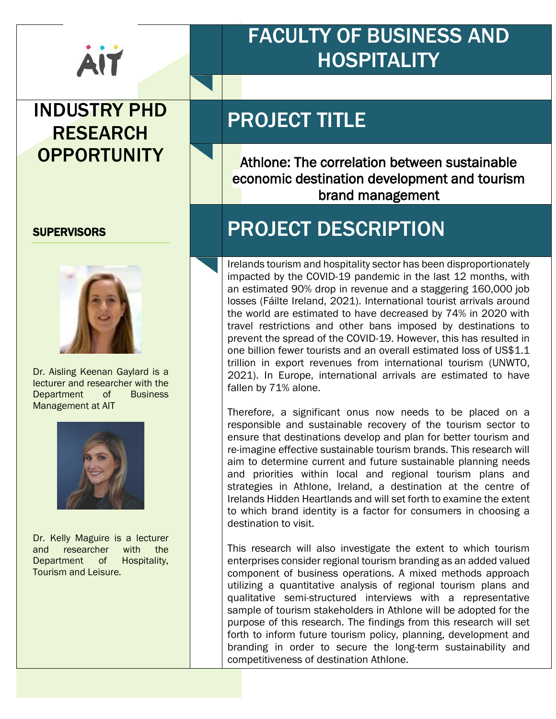

#### INDUSTRY PHD RESEARCH **OPPORTUNITY**

#### **SUPERVISORS**



Dr. Aisling Keenan Gaylard is a lecturer and researcher with the Department of Business Management at AIT



Dr. Kelly Maguire is a lecturer and researcher with the Department of Hospitality, Tourism and Leisure.

## FACULTY OF BUSINESS AND **HOSPITALITY**

## PROJECT TITLE

Athlone: The correlation between sustainable economic destination development and tourism brand management

### PROJECT DESCRIPTION

Irelands tourism and hospitality sector has been disproportionately impacted by the COVID-19 pandemic in the last 12 months, with an estimated 90% drop in revenue and a staggering 160,000 job losses (Fáilte Ireland, 2021). International tourist arrivals around the world are estimated to have decreased by 74% in 2020 with travel restrictions and other bans imposed by destinations to prevent the spread of the COVID-19. However, this has resulted in one billion fewer tourists and an overall estimated loss of US\$1.1 trillion in export revenues from international tourism (UNWTO, 2021). In Europe, international arrivals are estimated to have fallen by 71% alone.

Therefore, a significant onus now needs to be placed on a responsible and sustainable recovery of the tourism sector to ensure that destinations develop and plan for better tourism and re-imagine effective sustainable tourism brands. This research will aim to determine current and future sustainable planning needs and priorities within local and regional tourism plans and strategies in Athlone, Ireland, a destination at the centre of Irelands Hidden Heartlands and will set forth to examine the extent to which brand identity is a factor for consumers in choosing a destination to visit.

This research will also investigate the extent to which tourism enterprises consider regional tourism branding as an added valued component of business operations. A mixed methods approach utilizing a quantitative analysis of regional tourism plans and qualitative semi-structured interviews with a representative sample of tourism stakeholders in Athlone will be adopted for the purpose of this research. The findings from this research will set forth to inform future tourism policy, planning, development and branding in order to secure the long-term sustainability and competitiveness of destination Athlone.